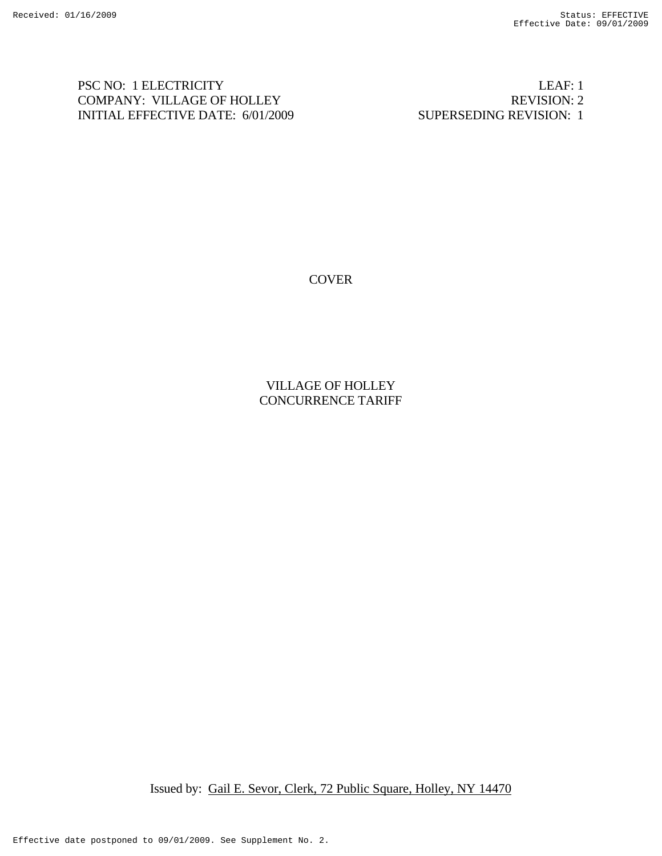PSC NO: 1 ELECTRICITY LEAF: 1 COMPANY: VILLAGE OF HOLLEY REVISION: 2 INITIAL EFFECTIVE DATE: 6/01/2009 SUPERSEDING REVISION: 1

**COVER** 

VILLAGE OF HOLLEY CONCURRENCE TARIFF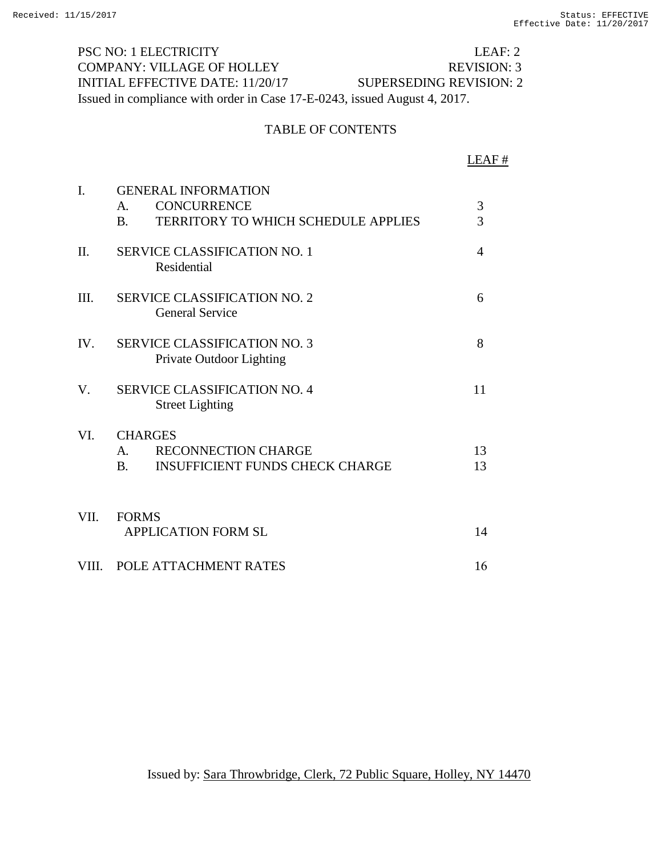PSC NO: 1 ELECTRICITY LEAF: 2 COMPANY: VILLAGE OF HOLLEY REVISION: 3 INITIAL EFFECTIVE DATE: 11/20/17 SUPERSEDING REVISION: 2 Issued in compliance with order in Case 17-E-0243, issued August 4, 2017.

#### TABLE OF CONTENTS

|                |                                                                                                                        | LEAF#          |
|----------------|------------------------------------------------------------------------------------------------------------------------|----------------|
| $\mathbf{I}$ . | <b>GENERAL INFORMATION</b><br><b>CONCURRENCE</b><br>$\mathsf{A}$ .<br>TERRITORY TO WHICH SCHEDULE APPLIES<br><b>B.</b> | 3<br>3         |
| II.            | <b>SERVICE CLASSIFICATION NO. 1</b><br>Residential                                                                     | $\overline{4}$ |
| III.           | <b>SERVICE CLASSIFICATION NO. 2</b><br><b>General Service</b>                                                          | 6              |
| IV.            | <b>SERVICE CLASSIFICATION NO. 3</b><br>Private Outdoor Lighting                                                        | 8              |
| V.             | <b>SERVICE CLASSIFICATION NO. 4</b><br><b>Street Lighting</b>                                                          | 11             |
| VI.            | <b>CHARGES</b><br>RECONNECTION CHARGE<br>$\mathsf{A}$ .<br><b>INSUFFICIENT FUNDS CHECK CHARGE</b><br><b>B.</b>         | 13<br>13       |
| VII.           | <b>FORMS</b><br><b>APPLICATION FORM SL</b>                                                                             | 14             |
| VIII.          | POLE ATTACHMENT RATES                                                                                                  | 16             |

Issued by: Sara Throwbridge, Clerk, 72 Public Square, Holley, NY 14470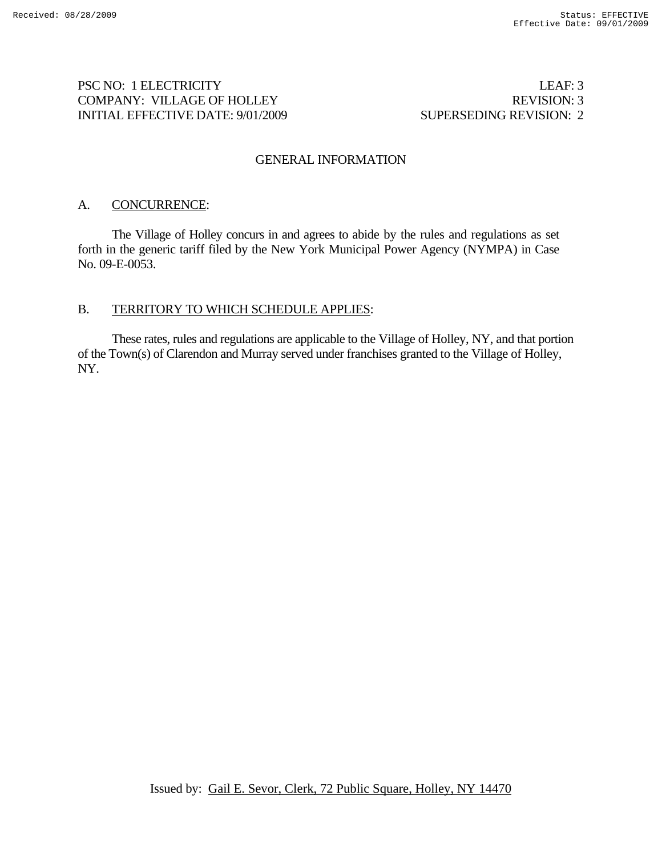## PSC NO: 1 ELECTRICITY LEAF: 3 COMPANY: VILLAGE OF HOLLEY REVISION: 3 INITIAL EFFECTIVE DATE: 9/01/2009 SUPERSEDING REVISION: 2

#### GENERAL INFORMATION

## A. CONCURRENCE:

 The Village of Holley concurs in and agrees to abide by the rules and regulations as set forth in the generic tariff filed by the New York Municipal Power Agency (NYMPA) in Case No. 09-E-0053.

#### B. TERRITORY TO WHICH SCHEDULE APPLIES:

 These rates, rules and regulations are applicable to the Village of Holley, NY, and that portion of the Town(s) of Clarendon and Murray served under franchises granted to the Village of Holley, NY.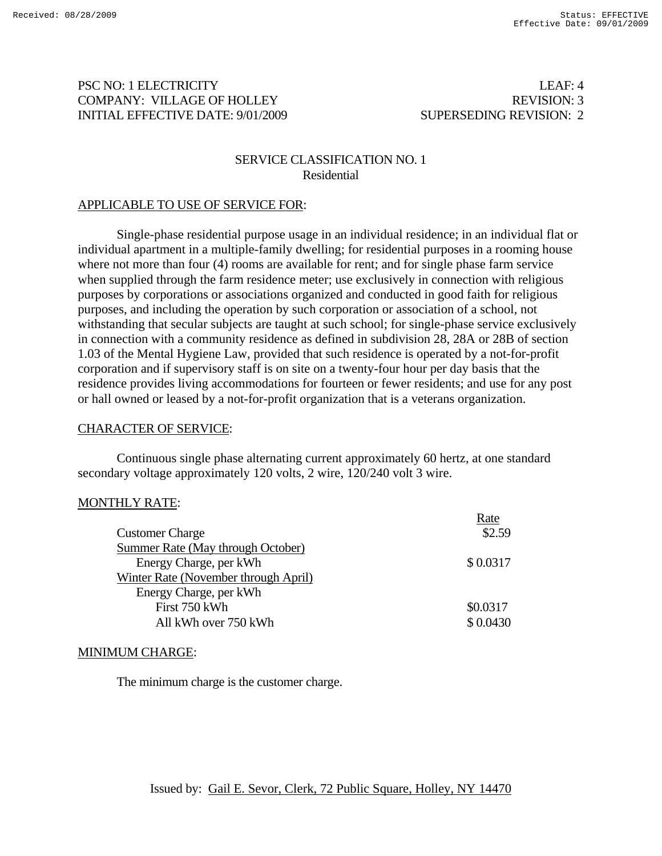## PSC NO: 1 ELECTRICITY LEAF: 4 COMPANY: VILLAGE OF HOLLEY REVISION: 3 INITIAL EFFECTIVE DATE: 9/01/2009 SUPERSEDING REVISION: 2

## SERVICE CLASSIFICATION NO. 1 Residential

## APPLICABLE TO USE OF SERVICE FOR:

Single-phase residential purpose usage in an individual residence; in an individual flat or individual apartment in a multiple-family dwelling; for residential purposes in a rooming house where not more than four (4) rooms are available for rent; and for single phase farm service when supplied through the farm residence meter; use exclusively in connection with religious purposes by corporations or associations organized and conducted in good faith for religious purposes, and including the operation by such corporation or association of a school, not withstanding that secular subjects are taught at such school; for single-phase service exclusively in connection with a community residence as defined in subdivision 28, 28A or 28B of section 1.03 of the Mental Hygiene Law, provided that such residence is operated by a not-for-profit corporation and if supervisory staff is on site on a twenty-four hour per day basis that the residence provides living accommodations for fourteen or fewer residents; and use for any post or hall owned or leased by a not-for-profit organization that is a veterans organization.

#### CHARACTER OF SERVICE:

Continuous single phase alternating current approximately 60 hertz, at one standard secondary voltage approximately 120 volts, 2 wire, 120/240 volt 3 wire.

#### MONTHLY RATE:

|                                      | Rate     |
|--------------------------------------|----------|
| <b>Customer Charge</b>               | \$2.59   |
| Summer Rate (May through October)    |          |
| Energy Charge, per kWh               | \$0.0317 |
| Winter Rate (November through April) |          |
| Energy Charge, per kWh               |          |
| First 750 kWh                        | \$0.0317 |
| All kWh over 750 kWh                 | \$0.0430 |
|                                      |          |

#### MINIMUM CHARGE:

The minimum charge is the customer charge.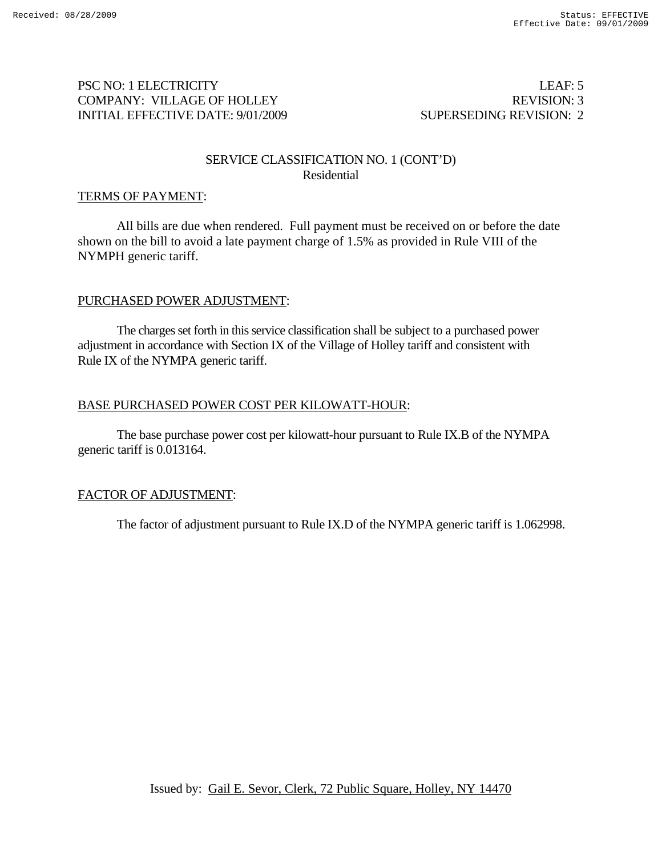## PSC NO: 1 ELECTRICITY LEAF: 5 COMPANY: VILLAGE OF HOLLEY REVISION: 3 INITIAL EFFECTIVE DATE: 9/01/2009 SUPERSEDING REVISION: 2

#### SERVICE CLASSIFICATION NO. 1 (CONT'D) Residential

#### TERMS OF PAYMENT:

 All bills are due when rendered. Full payment must be received on or before the date shown on the bill to avoid a late payment charge of 1.5% as provided in Rule VIII of the NYMPH generic tariff.

#### PURCHASED POWER ADJUSTMENT:

The charges set forth in this service classification shall be subject to a purchased power adjustment in accordance with Section IX of the Village of Holley tariff and consistent with Rule IX of the NYMPA generic tariff.

## BASE PURCHASED POWER COST PER KILOWATT-HOUR:

The base purchase power cost per kilowatt-hour pursuant to Rule IX.B of the NYMPA generic tariff is 0.013164.

## FACTOR OF ADJUSTMENT:

The factor of adjustment pursuant to Rule IX.D of the NYMPA generic tariff is 1.062998.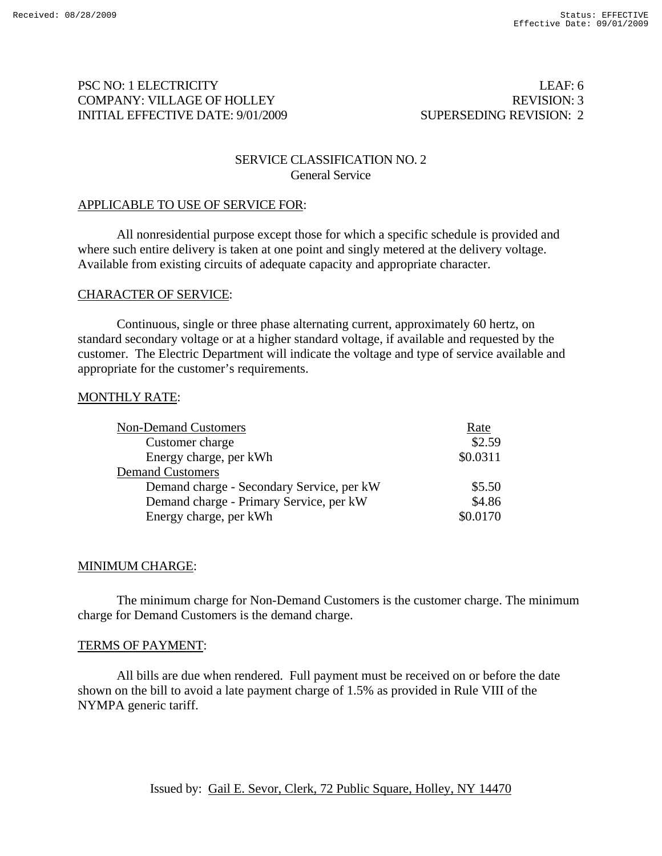## PSC NO: 1 ELECTRICITY LEAF: 6 COMPANY: VILLAGE OF HOLLEY REVISION: 3 INITIAL EFFECTIVE DATE: 9/01/2009 SUPERSEDING REVISION: 2

## SERVICE CLASSIFICATION NO. 2 General Service

## APPLICABLE TO USE OF SERVICE FOR:

All nonresidential purpose except those for which a specific schedule is provided and where such entire delivery is taken at one point and singly metered at the delivery voltage. Available from existing circuits of adequate capacity and appropriate character.

#### CHARACTER OF SERVICE:

Continuous, single or three phase alternating current, approximately 60 hertz, on standard secondary voltage or at a higher standard voltage, if available and requested by the customer. The Electric Department will indicate the voltage and type of service available and appropriate for the customer's requirements.

#### MONTHLY RATE:

| <b>Non-Demand Customers</b>               | Rate     |
|-------------------------------------------|----------|
| Customer charge                           | \$2.59   |
| Energy charge, per kWh                    | \$0.0311 |
| <b>Demand Customers</b>                   |          |
| Demand charge - Secondary Service, per kW | \$5.50   |
| Demand charge - Primary Service, per kW   | \$4.86   |
| Energy charge, per kWh                    | \$0.0170 |

#### MINIMUM CHARGE:

The minimum charge for Non-Demand Customers is the customer charge. The minimum charge for Demand Customers is the demand charge.

#### TERMS OF PAYMENT:

All bills are due when rendered. Full payment must be received on or before the date shown on the bill to avoid a late payment charge of 1.5% as provided in Rule VIII of the NYMPA generic tariff.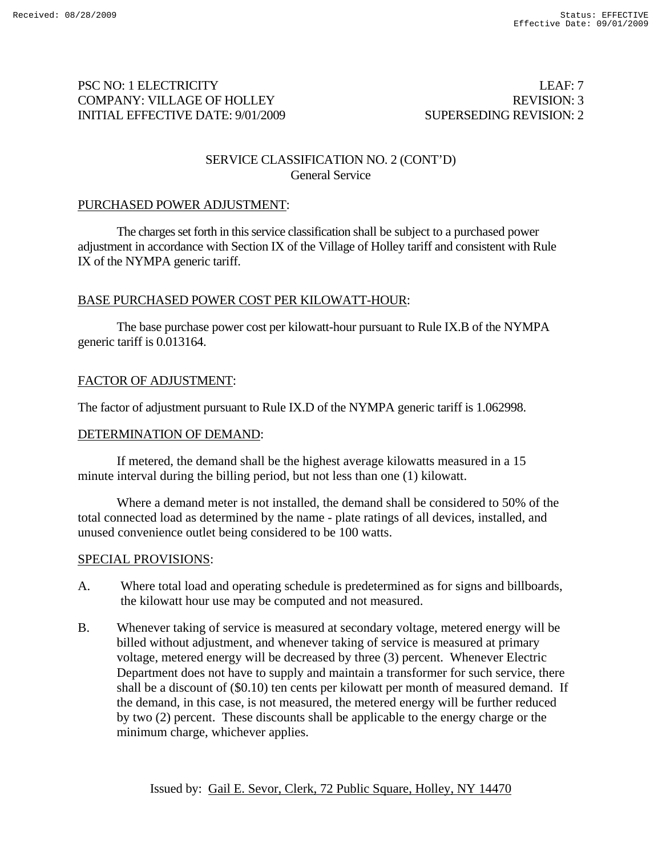## PSC NO: 1 ELECTRICITY LEAF: 7 COMPANY: VILLAGE OF HOLLEY REVISION: 3 INITIAL EFFECTIVE DATE: 9/01/2009 SUPERSEDING REVISION: 2

## SERVICE CLASSIFICATION NO. 2 (CONT'D) General Service

## PURCHASED POWER ADJUSTMENT:

The charges set forth in this service classification shall be subject to a purchased power adjustment in accordance with Section IX of the Village of Holley tariff and consistent with Rule IX of the NYMPA generic tariff.

## BASE PURCHASED POWER COST PER KILOWATT-HOUR:

The base purchase power cost per kilowatt-hour pursuant to Rule IX.B of the NYMPA generic tariff is 0.013164.

## FACTOR OF ADJUSTMENT:

The factor of adjustment pursuant to Rule IX.D of the NYMPA generic tariff is 1.062998.

#### DETERMINATION OF DEMAND:

If metered, the demand shall be the highest average kilowatts measured in a 15 minute interval during the billing period, but not less than one (1) kilowatt.

 Where a demand meter is not installed, the demand shall be considered to 50% of the total connected load as determined by the name - plate ratings of all devices, installed, and unused convenience outlet being considered to be 100 watts.

#### SPECIAL PROVISIONS:

- A. Where total load and operating schedule is predetermined as for signs and billboards, the kilowatt hour use may be computed and not measured.
- B. Whenever taking of service is measured at secondary voltage, metered energy will be billed without adjustment, and whenever taking of service is measured at primary voltage, metered energy will be decreased by three (3) percent. Whenever Electric Department does not have to supply and maintain a transformer for such service, there shall be a discount of (\$0.10) ten cents per kilowatt per month of measured demand. If the demand, in this case, is not measured, the metered energy will be further reduced by two (2) percent. These discounts shall be applicable to the energy charge or the minimum charge, whichever applies.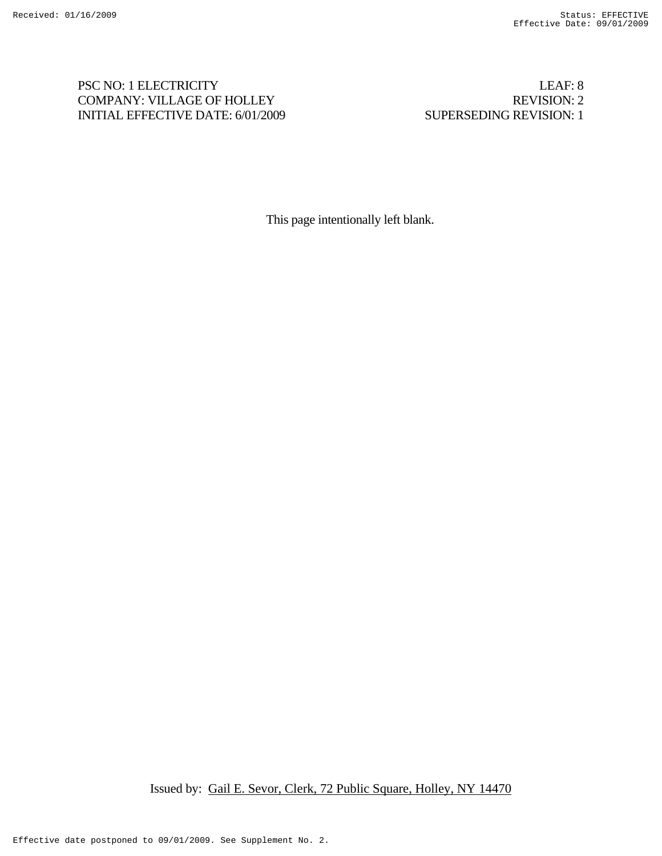## PSC NO: 1 ELECTRICITY LEAF: 8 COMPANY: VILLAGE OF HOLLEY REVISION: 2 INITIAL EFFECTIVE DATE: 6/01/2009 SUPERSEDING REVISION: 1

This page intentionally left blank.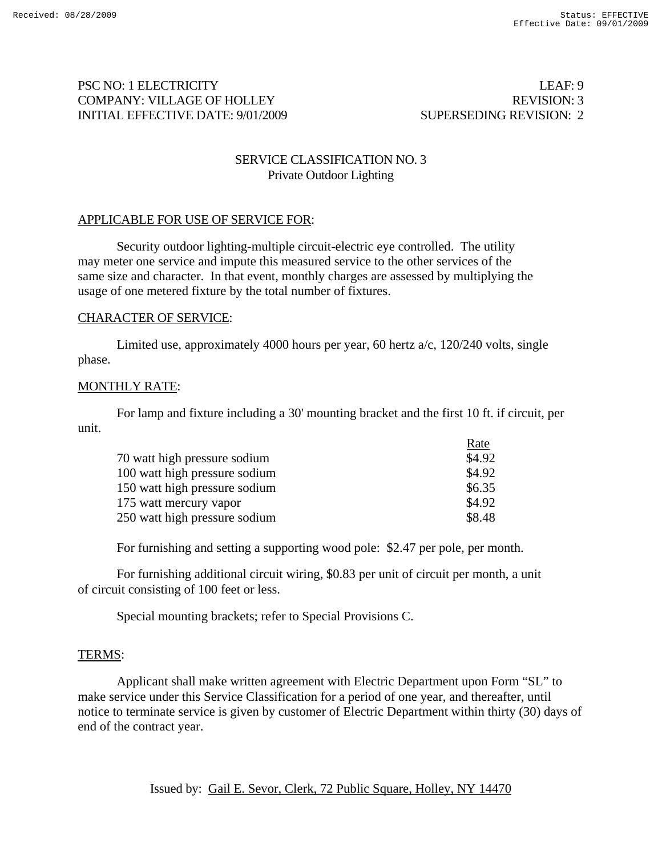## PSC NO: 1 ELECTRICITY LEAF: 9 COMPANY: VILLAGE OF HOLLEY REVISION: 3 INITIAL EFFECTIVE DATE: 9/01/2009 SUPERSEDING REVISION: 2

## SERVICE CLASSIFICATION NO. 3 Private Outdoor Lighting

## APPLICABLE FOR USE OF SERVICE FOR:

Security outdoor lighting-multiple circuit-electric eye controlled. The utility may meter one service and impute this measured service to the other services of the same size and character. In that event, monthly charges are assessed by multiplying the usage of one metered fixture by the total number of fixtures.

#### CHARACTER OF SERVICE:

Limited use, approximately 4000 hours per year, 60 hertz  $a/c$ , 120/240 volts, single phase.

#### MONTHLY RATE:

 For lamp and fixture including a 30' mounting bracket and the first 10 ft. if circuit, per unit.

|                               | Rate   |
|-------------------------------|--------|
| 70 watt high pressure sodium  | \$4.92 |
| 100 watt high pressure sodium | \$4.92 |
| 150 watt high pressure sodium | \$6.35 |
| 175 watt mercury vapor        | \$4.92 |
| 250 watt high pressure sodium | \$8.48 |

For furnishing and setting a supporting wood pole: \$2.47 per pole, per month.

For furnishing additional circuit wiring, \$0.83 per unit of circuit per month, a unit of circuit consisting of 100 feet or less.

Special mounting brackets; refer to Special Provisions C.

#### TERMS:

 Applicant shall make written agreement with Electric Department upon Form "SL" to make service under this Service Classification for a period of one year, and thereafter, until notice to terminate service is given by customer of Electric Department within thirty (30) days of end of the contract year.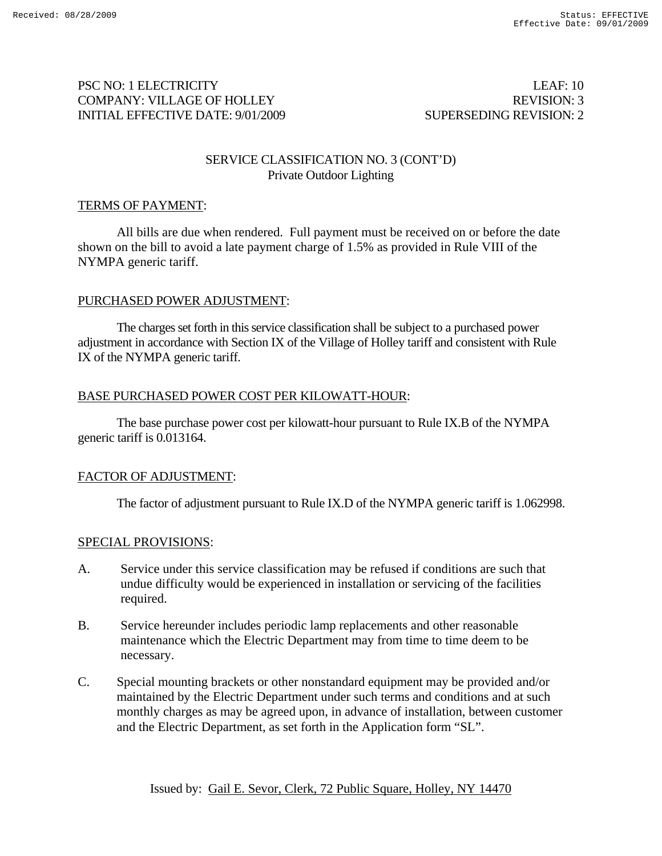## PSC NO: 1 ELECTRICITY LEAF: 10 COMPANY: VILLAGE OF HOLLEY REVISION: 3 INITIAL EFFECTIVE DATE: 9/01/2009 SUPERSEDING REVISION: 2

#### SERVICE CLASSIFICATION NO. 3 (CONT'D) Private Outdoor Lighting

#### TERMS OF PAYMENT:

 All bills are due when rendered. Full payment must be received on or before the date shown on the bill to avoid a late payment charge of 1.5% as provided in Rule VIII of the NYMPA generic tariff.

## PURCHASED POWER ADJUSTMENT:

The charges set forth in this service classification shall be subject to a purchased power adjustment in accordance with Section IX of the Village of Holley tariff and consistent with Rule IX of the NYMPA generic tariff.

#### BASE PURCHASED POWER COST PER KILOWATT-HOUR:

The base purchase power cost per kilowatt-hour pursuant to Rule IX.B of the NYMPA generic tariff is 0.013164.

## FACTOR OF ADJUSTMENT:

The factor of adjustment pursuant to Rule IX.D of the NYMPA generic tariff is 1.062998.

#### SPECIAL PROVISIONS:

- A. Service under this service classification may be refused if conditions are such that undue difficulty would be experienced in installation or servicing of the facilities required.
- B. Service hereunder includes periodic lamp replacements and other reasonable maintenance which the Electric Department may from time to time deem to be necessary.
- C. Special mounting brackets or other nonstandard equipment may be provided and/or maintained by the Electric Department under such terms and conditions and at such monthly charges as may be agreed upon, in advance of installation, between customer and the Electric Department, as set forth in the Application form "SL".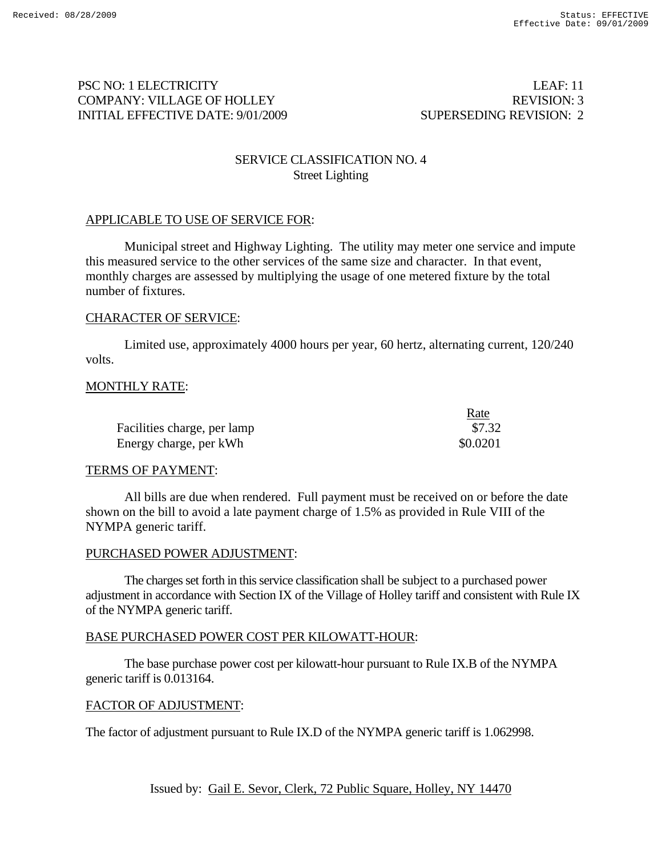## PSC NO: 1 ELECTRICITY LEAF: 11 COMPANY: VILLAGE OF HOLLEY REVISION: 3 INITIAL EFFECTIVE DATE: 9/01/2009 SUPERSEDING REVISION: 2

## SERVICE CLASSIFICATION NO. 4 Street Lighting

## APPLICABLE TO USE OF SERVICE FOR:

Municipal street and Highway Lighting. The utility may meter one service and impute this measured service to the other services of the same size and character. In that event, monthly charges are assessed by multiplying the usage of one metered fixture by the total number of fixtures.

#### CHARACTER OF SERVICE:

Limited use, approximately 4000 hours per year, 60 hertz, alternating current, 120/240 volts.

#### MONTHLY RATE:

|                             | Rate     |
|-----------------------------|----------|
| Facilities charge, per lamp | \$7.32   |
| Energy charge, per kWh      | \$0.0201 |

#### TERMS OF PAYMENT:

All bills are due when rendered. Full payment must be received on or before the date shown on the bill to avoid a late payment charge of 1.5% as provided in Rule VIII of the NYMPA generic tariff.

#### PURCHASED POWER ADJUSTMENT:

The charges set forth in this service classification shall be subject to a purchased power adjustment in accordance with Section IX of the Village of Holley tariff and consistent with Rule IX of the NYMPA generic tariff.

#### BASE PURCHASED POWER COST PER KILOWATT-HOUR:

The base purchase power cost per kilowatt-hour pursuant to Rule IX.B of the NYMPA generic tariff is 0.013164.

#### FACTOR OF ADJUSTMENT:

The factor of adjustment pursuant to Rule IX.D of the NYMPA generic tariff is 1.062998.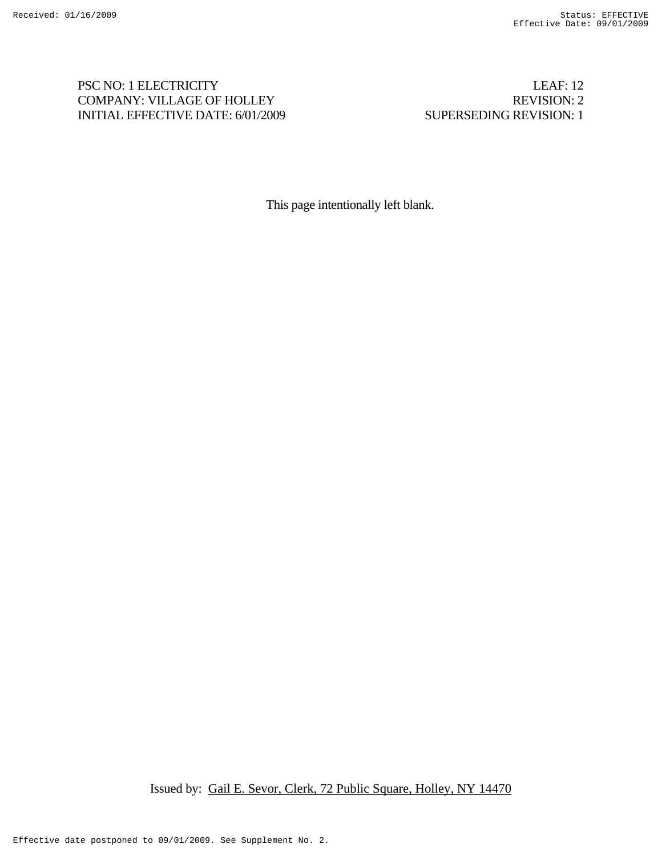## PSC NO: 1 ELECTRICITY LEAF: 12 COMPANY: VILLAGE OF HOLLEY REVISION: 2 INITIAL EFFECTIVE DATE: 6/01/2009 SUPERSEDING REVISION: 1

This page intentionally left blank.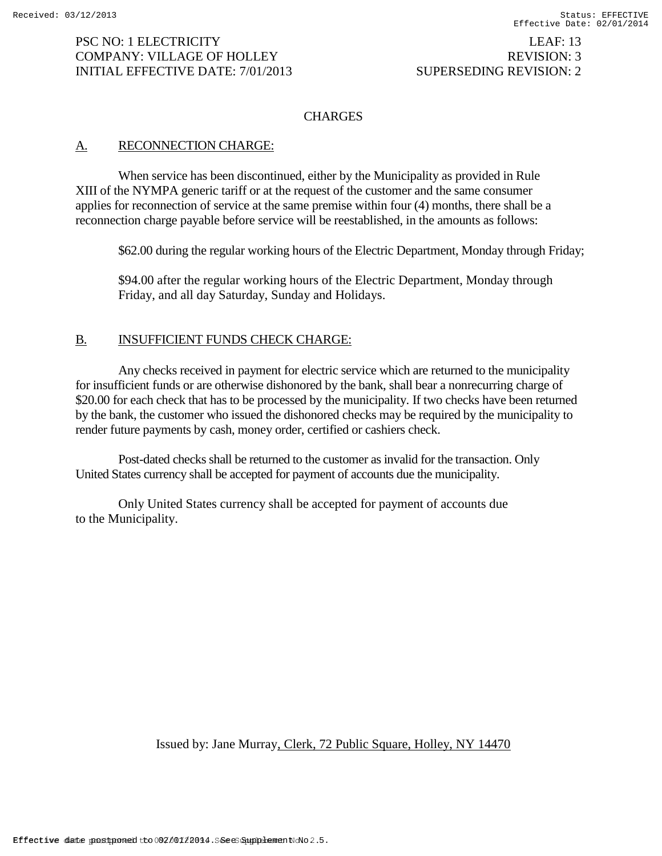# INITIAL EFFECTIVE DATE: 7/01/2013 SUPERSEDING REVISION: 2

## **CHARGES**

## A. RECONNECTION CHARGE:

When service has been discontinued, either by the Municipality as provided in Rule XIII of the NYMPA generic tariff or at the request of the customer and the same consumer applies for reconnection of service at the same premise within four (4) months, there shall be a reconnection charge payable before service will be reestablished, in the amounts as follows:

\$62.00 during the regular working hours of the Electric Department, Monday through Friday;

\$94.00 after the regular working hours of the Electric Department, Monday through Friday, and all day Saturday, Sunday and Holidays.

## B. INSUFFICIENT FUNDS CHECK CHARGE:

Any checks received in payment for electric service which are returned to the municipality for insufficient funds or are otherwise dishonored by the bank, shall bear a nonrecurring charge of \$20.00 for each check that has to be processed by the municipality. If two checks have been returned by the bank, the customer who issued the dishonored checks may be required by the municipality to render future payments by cash, money order, certified or cashiers check.

Post-dated checks shall be returned to the customer as invalid for the transaction. Only United States currency shall be accepted for payment of accounts due the municipality.

Only United States currency shall be accepted for payment of accounts due to the Municipality.

Issued by: Jane Murray, Clerk, 72 Public Square, Holley, NY 14470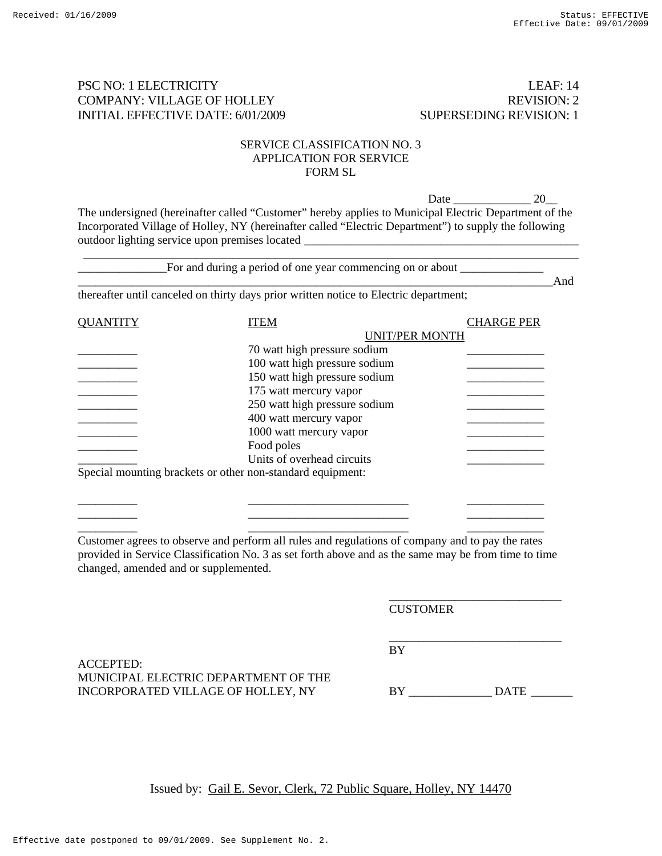#### PSC NO: 1 ELECTRICITY LEAF: 14 COMPANY: VILLAGE OF HOLLEY REVISION: 2 INITIAL EFFECTIVE DATE: 6/01/2009 SUPERSEDING REVISION: 1

#### SERVICE CLASSIFICATION NO. 3 APPLICATION FOR SERVICE FORM SL

 Date \_\_\_\_\_\_\_\_\_\_\_\_\_ 20\_\_ The undersigned (hereinafter called "Customer" hereby applies to Municipal Electric Department of the Incorporated Village of Holley, NY (hereinafter called "Electric Department") to supply the following outdoor lighting service upon premises located \_\_\_\_\_\_\_\_\_\_\_\_\_\_\_\_\_\_\_\_\_\_\_\_\_\_\_\_\_\_\_\_\_\_

| thereafter until canceled on thirty days prior written notice to Electric department; |                                                                                                      |                   |  |  |
|---------------------------------------------------------------------------------------|------------------------------------------------------------------------------------------------------|-------------------|--|--|
| <b>QUANTITY</b>                                                                       | <b>ITEM</b>                                                                                          | <b>CHARGE PER</b> |  |  |
|                                                                                       | <b>UNIT/PER MONTH</b>                                                                                |                   |  |  |
|                                                                                       | 70 watt high pressure sodium                                                                         |                   |  |  |
|                                                                                       | 100 watt high pressure sodium                                                                        |                   |  |  |
|                                                                                       | 150 watt high pressure sodium                                                                        |                   |  |  |
|                                                                                       | 175 watt mercury vapor                                                                               |                   |  |  |
|                                                                                       | 250 watt high pressure sodium                                                                        |                   |  |  |
|                                                                                       | 400 watt mercury vapor                                                                               |                   |  |  |
|                                                                                       | 1000 watt mercury vapor                                                                              |                   |  |  |
|                                                                                       | Food poles                                                                                           |                   |  |  |
|                                                                                       | Units of overhead circuits                                                                           |                   |  |  |
|                                                                                       | Special mounting brackets or other non-standard equipment:                                           |                   |  |  |
|                                                                                       |                                                                                                      |                   |  |  |
|                                                                                       |                                                                                                      |                   |  |  |
|                                                                                       |                                                                                                      |                   |  |  |
|                                                                                       |                                                                                                      |                   |  |  |
|                                                                                       | Customer agrees to observe and perform all rules and regulations of company and to pay the rates     |                   |  |  |
|                                                                                       | provided in Service Classification No. 3 as set forth above and as the same may be from time to time |                   |  |  |
| changed, amended and or supplemented.                                                 |                                                                                                      |                   |  |  |
|                                                                                       |                                                                                                      |                   |  |  |

ACCEPTED: MUNICIPAL ELECTRIC DEPARTMENT OF THE INCORPORATED VILLAGE OF HOLLEY, NY BY DATE

 $\overline{\phantom{a}}$  , and the contract of the contract of the contract of the contract of the contract of the contract of the contract of the contract of the contract of the contract of the contract of the contract of the contrac BY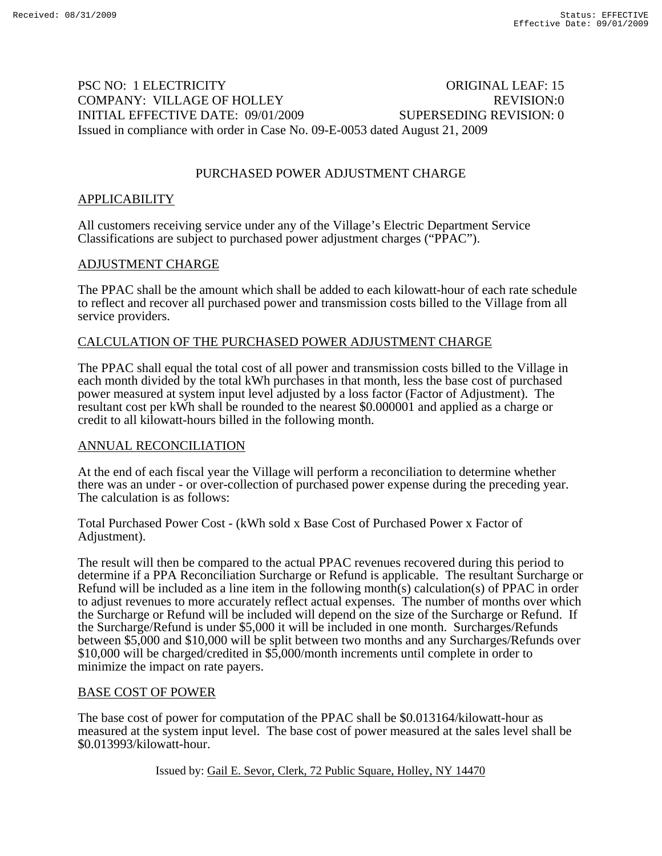## PSC NO: 1 ELECTRICITY CONGINAL LEAF: 15 COMPANY: VILLAGE OF HOLLEY REVISION:0 INITIAL EFFECTIVE DATE: 09/01/2009 SUPERSEDING REVISION: 0 Issued in compliance with order in Case No. 09-E-0053 dated August 21, 2009

## PURCHASED POWER ADJUSTMENT CHARGE

#### APPLICABILITY

All customers receiving service under any of the Village's Electric Department Service Classifications are subject to purchased power adjustment charges ("PPAC").

#### ADJUSTMENT CHARGE

The PPAC shall be the amount which shall be added to each kilowatt-hour of each rate schedule to reflect and recover all purchased power and transmission costs billed to the Village from all service providers.

#### CALCULATION OF THE PURCHASED POWER ADJUSTMENT CHARGE

The PPAC shall equal the total cost of all power and transmission costs billed to the Village in each month divided by the total kWh purchases in that month, less the base cost of purchased power measured at system input level adjusted by a loss factor (Factor of Adjustment). The resultant cost per kWh shall be rounded to the nearest \$0.000001 and applied as a charge or credit to all kilowatt-hours billed in the following month.

#### ANNUAL RECONCILIATION

At the end of each fiscal year the Village will perform a reconciliation to determine whether there was an under - or over-collection of purchased power expense during the preceding year. The calculation is as follows:

Total Purchased Power Cost - (kWh sold x Base Cost of Purchased Power x Factor of Adjustment).

The result will then be compared to the actual PPAC revenues recovered during this period to determine if a PPA Reconciliation Surcharge or Refund is applicable. The resultant Surcharge or Refund will be included as a line item in the following month(s) calculation(s) of PPAC in order to adjust revenues to more accurately reflect actual expenses. The number of months over which the Surcharge or Refund will be included will depend on the size of the Surcharge or Refund. If the Surcharge/Refund is under \$5,000 it will be included in one month. Surcharges/Refunds between \$5,000 and \$10,000 will be split between two months and any Surcharges/Refunds over \$10,000 will be charged/credited in \$5,000/month increments until complete in order to minimize the impact on rate payers.

#### BASE COST OF POWER

The base cost of power for computation of the PPAC shall be \$0.013164/kilowatt-hour as measured at the system input level. The base cost of power measured at the sales level shall be \$0.013993/kilowatt-hour.